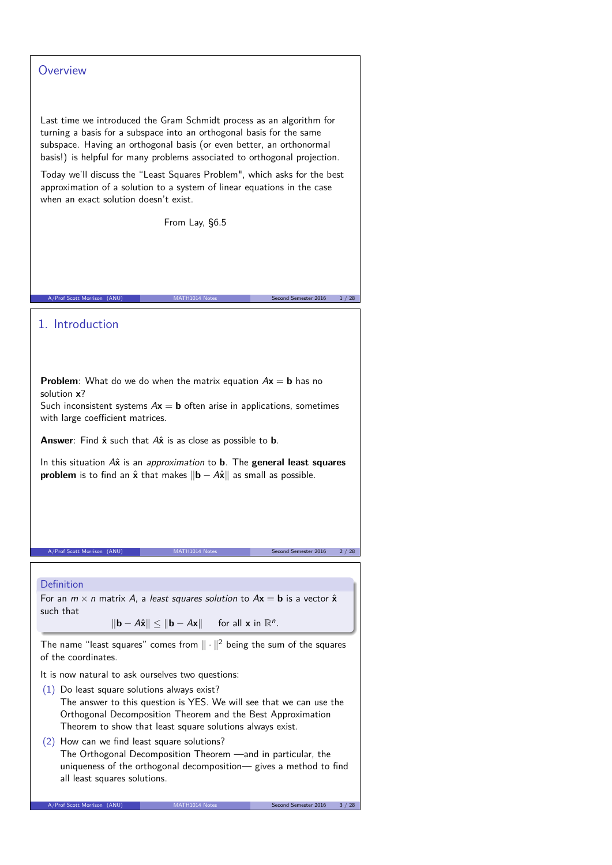## **Overview**

Last time we introduced the Gram Schmidt process as an algorithm for turning a basis for a subspace into an orthogonal basis for the same subspace. Having an orthogonal basis (or even better, an orthonormal basis!) is helpful for many problems associated to orthogonal projection.

Today we'll discuss the "Least Squares Problem", which asks for the best approximation of a solution to a system of linear equations in the case when an exact solution doesn't exist.

From Lay, §6.5

A/Prof Scott Morrison (ANU) MATH1014 Notes Second Semester 2016 1/28

# 1. Introduction

**Problem**: What do we do when the matrix equation  $Ax = b$  has no solution **x**?

Such inconsistent systems  $Ax = b$  often arise in applications, sometimes with large coefficient matrices.

**Answer**: Find **x**ˆ such that A**x**ˆ is as close as possible to **b**.

In this situation A<sup>x</sup> is an *approximation* to **b**. The **general least squares problem** is to find an  $\hat{x}$  that makes  $\|\mathbf{b} - A\hat{x}\|$  as small as possible.

A/Prof Scott Morris

### Definition

For an  $m \times n$  matrix A, a least squares solution to  $A\mathbf{x} = \mathbf{b}$  is a vector  $\hat{\mathbf{x}}$ such that

 $\|\mathbf{b} - A\hat{\mathbf{x}}\| \leq \|\mathbf{b} - A\mathbf{x}\|$  for all **x** in  $\mathbb{R}^n$ .

The name "least squares" comes from  $\|\cdot\|^2$  being the sum of the squares of the coordinates.

It is now natural to ask ourselves two questions:

- (1) Do least square solutions always exist? The answer to this question is YES. We will see that we can use the Orthogonal Decomposition Theorem and the Best Approximation Theorem to show that least square solutions always exist.
- (2) How can we find least square solutions? The Orthogonal Decomposition Theorem —and in particular, the uniqueness of the orthogonal decomposition— gives a method to find all least squares solutions.

A/Prof Scott Morrison (ANU) MATH1014 Notes Second Semester 2016 3 / 28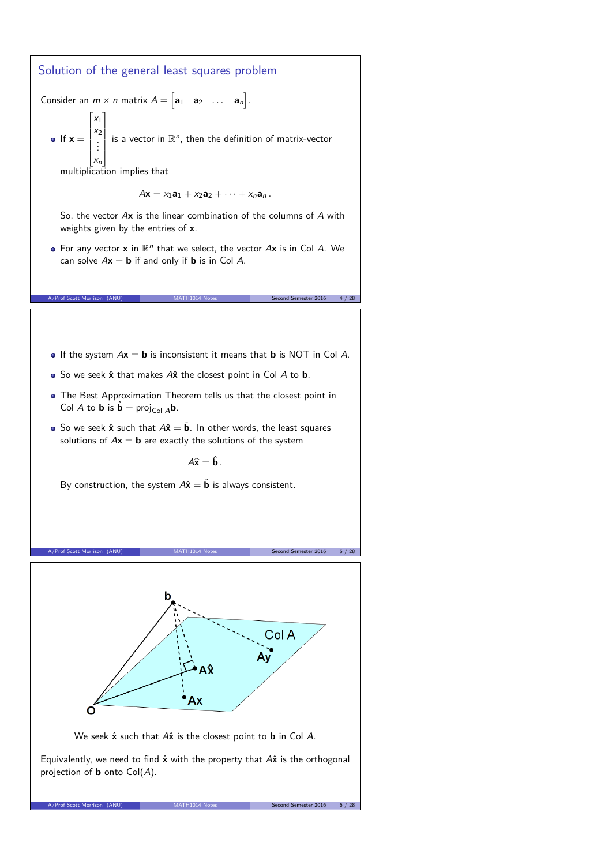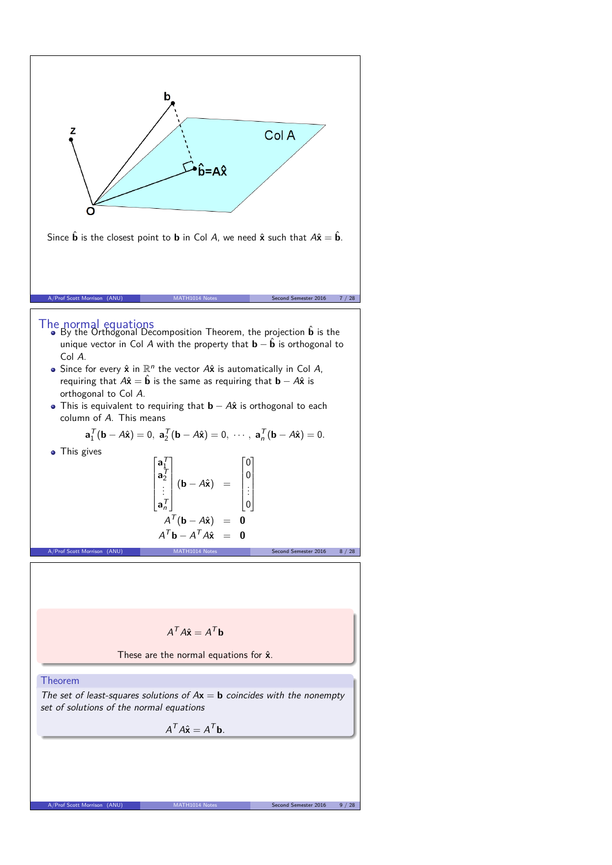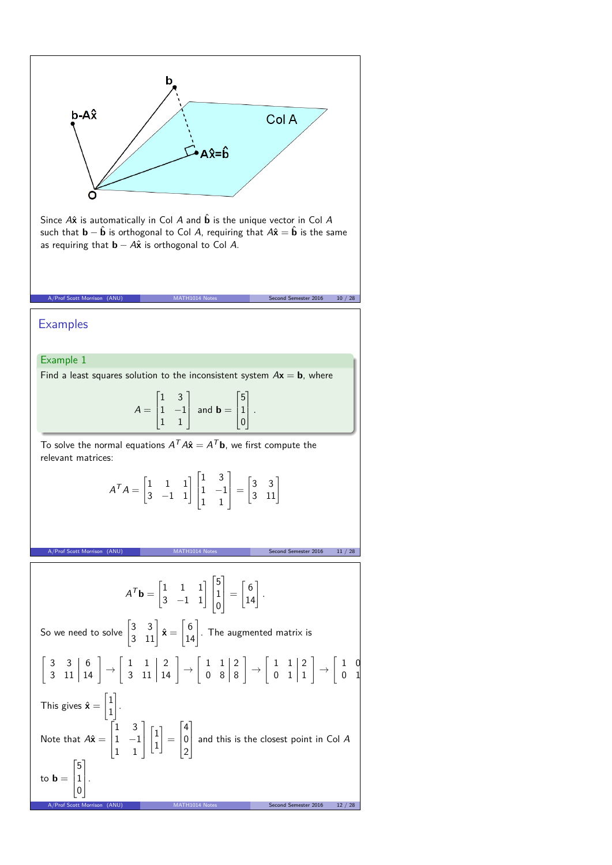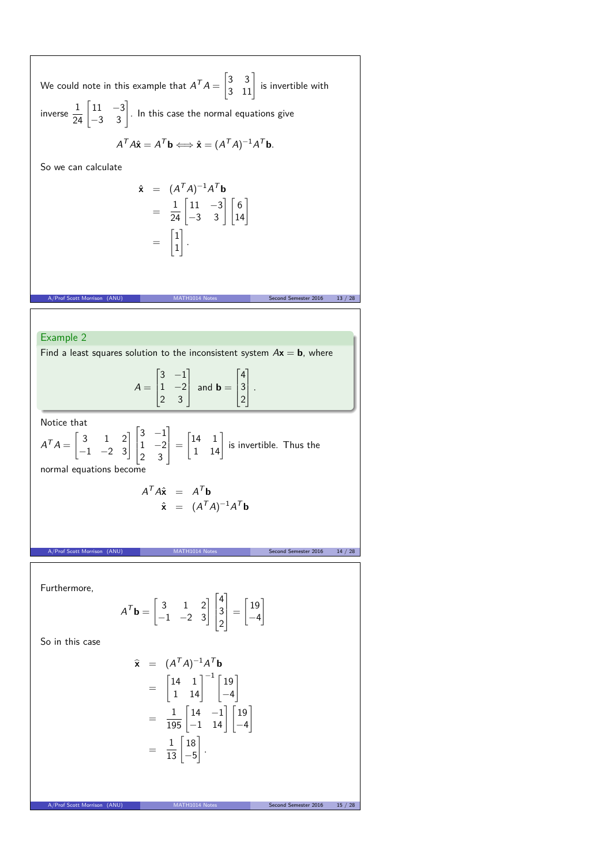We could note in this example that  $A^TA=$  $\begin{bmatrix} 3 & 3 \\ 3 & 11 \end{bmatrix}$  is invertible with inverse  $\frac{1}{24} \begin{bmatrix} 11 & -3 \\ -3 & 3 \end{bmatrix}$ . In this case the normal equations give  $A^T A \hat{\mathbf{x}} = A^T \mathbf{b} \Longleftrightarrow \hat{\mathbf{x}} = (A^T A)^{-1} A^T \mathbf{b}.$ So we can calculate  $\hat{\mathbf{x}} = (A^T A)^{-1} A^T \mathbf{b}$  $= \frac{1}{24} \begin{bmatrix} 11 & -3 \\ -3 & 3 \end{bmatrix} \begin{bmatrix} 6 \\ 14 \end{bmatrix}$ =  $\lceil 1 \rceil$ 1 1 *.* A/Prof Scott Morrison (ANU) MATH1014 Notes Second Semester 2016 13 / 28 Example 2 Find a least squares solution to the inconsistent system  $A\mathbf{x} = \mathbf{b}$ , where  $A =$  $\Gamma$  $\overline{\phantom{a}}$  $3 -1$  $1 -2$ 2 3 Ī. | and  $\mathbf{b} =$  $\Gamma$  $\mathbf{I}$ 4 3 2 T. *.* Notice that  $A^T A =$  $\begin{bmatrix} 3 & 1 & 2 \\ -1 & -2 & 3 \end{bmatrix}$  $\Big\}$  $3 -1$  $1 -2$ 2 3 1  $\vert$  =  $\begin{bmatrix} 14 & 1 \\ 1 & 14 \end{bmatrix}$  is invertible. Thus the normal equations become  $A^T A \hat{\mathbf{x}} = A^T \mathbf{b}$  $\hat{\mathbf{x}} = (A^T A)^{-1} A^T \mathbf{b}$ MATH1014 Notes Second Semester 2016 14 / 28 Furthermore,  $A^T \mathbf{b} = \begin{bmatrix} 3 & 1 & 2 \\ -1 & -2 & 3 \end{bmatrix}$  $\vert$ 4 3 2 T.  $\vert$  =  $\lceil 19 \rceil$ −4 1 So in this case  $\hat{\mathbf{x}} = (A^T A)^{-1} A^T \mathbf{b}$ =  $\begin{bmatrix} 14 & 1 \\ 1 & 14 \end{bmatrix}^{-1} \begin{bmatrix} 19 \\ -4 \end{bmatrix}$  $-4$ 1  $=\frac{1}{195} \begin{bmatrix} 14 & -1 \\ -1 & 14 \end{bmatrix} \begin{bmatrix} 19 \\ -4 \end{bmatrix}$ 1  $= \frac{1}{13} \begin{bmatrix} 18 \\ -5 \end{bmatrix}$ −5 1 *.*

A/Prof Scott Morrison (ANU) MATH1014 Notes Second Semester 2016 15 / 28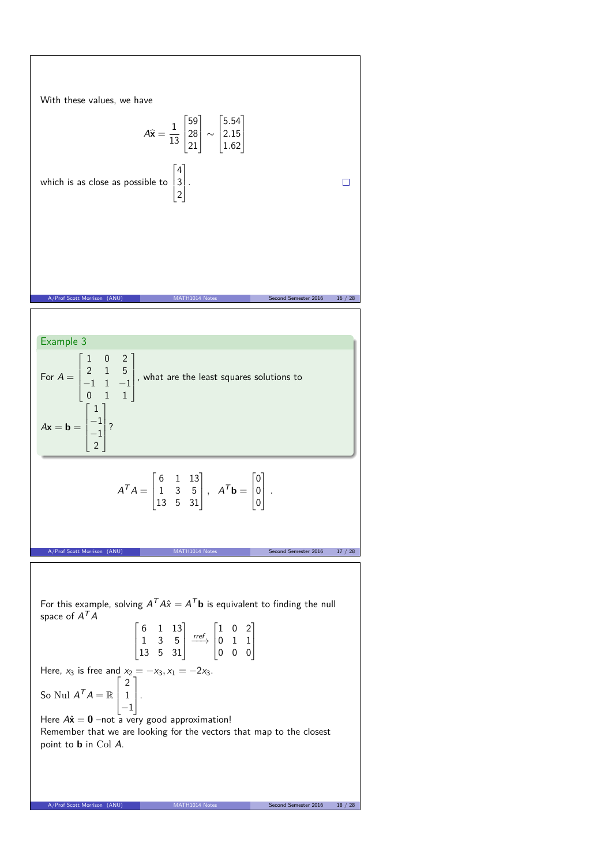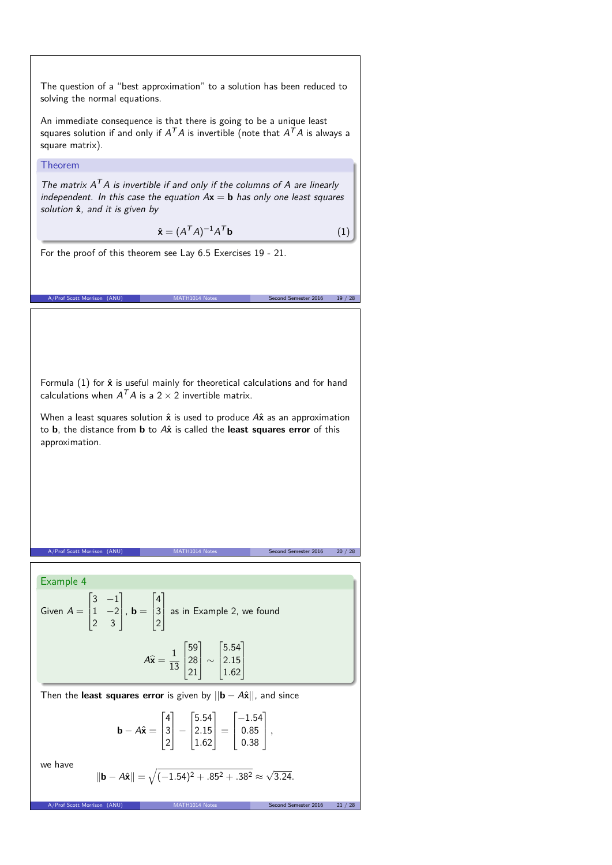The question of a "best approximation" to a solution has been reduced to solving the normal equations.

An immediate consequence is that there is going to be a unique least squares solution if and only if  $A^{\mathcal{T}}A$  is invertible (note that  $A^{\mathcal{T}}A$  is always a square matrix).

Theorem

The matrix  $A<sup>T</sup>A$  is invertible if and only if the columns of A are linearly independent. In this case the equation  $Ax = b$  has only one least squares solution  $\hat{\mathbf{x}}$ , and it is given by

$$
\hat{\mathbf{x}} = (A^T A)^{-1} A^T \mathbf{b} \tag{1}
$$

For the proof of this theorem see Lay 6.5 Exercises 19 - 21.

Formula (1) for  $\hat{x}$  is useful mainly for theoretical calculations and for hand calculations when  $A^T A$  is a 2  $\times$  2 invertible matrix.

A/Prof Scott Morrison (ANU) MATH1014 Notes Second Semester 2016 19 / 28

When a least squares solution  $\hat{x}$  is used to produce A $\hat{x}$  as an approximation to **b**, the distance from **b** to A**x**ˆ is called the **least squares error** of this approximation.

A/Prof Scott Morrison (ANU) MATH1014 Notes Second Semester 2016 20 / 28

Example 4 Given  $A =$  $\Gamma$  $\overline{\phantom{a}}$  $3 -1$  $1 -2$ 2 3 Ī.  $\vert \cdot \mathbf{b} =$  $\Gamma$  $\mathbf{I}$ 4 3 2  $\overline{1}$  as in Example 2, we found  $A\widehat{\mathbf{x}} = \frac{1}{15}$ 13  $\Gamma$  $\vert$ 59 28 21 T  $\vert \sim$  $\Gamma$  $\parallel$ 5*.*54 2*.*15 1*.*62 T  $\mathbf{I}$ Then the **least squares error** is given by  $||\mathbf{b} - A\hat{\mathbf{x}}||$ , and since **b** −  $A\hat{\mathbf{x}} =$  $\Gamma$  $\vert$ 4 3 2 1 −  $\Gamma$  $\mathbf{r}$ 5*.*54 2*.*15 1*.*62 T  $\vert$  =  $\Gamma$  $\overline{\phantom{a}}$ −1*.*54 0*.*85 0*.*38 T *,* we have  $||\mathbf{b} - A\hat{\mathbf{x}}|| = \sqrt{(-1.54)^2 + .85^2 + .38^2} \approx \sqrt{3.24}$ . A/Prof Scott M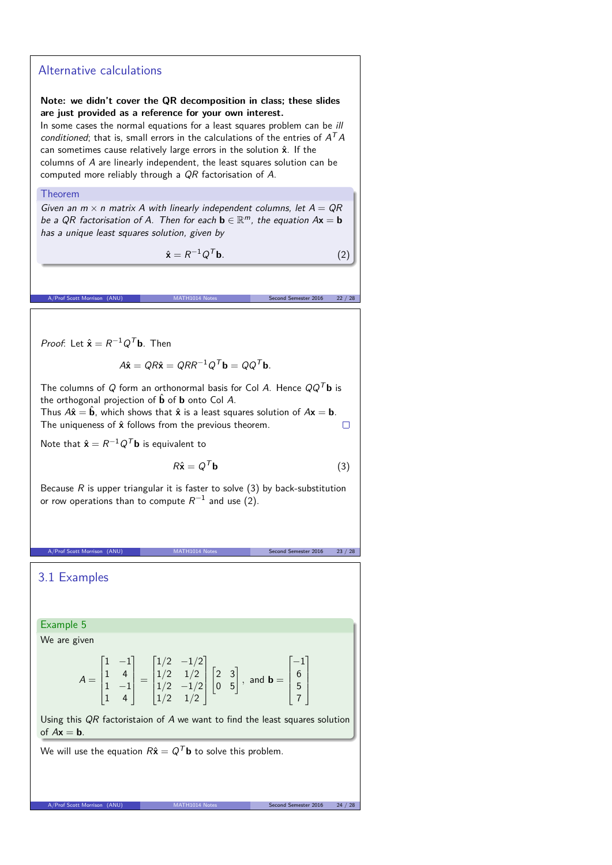## Alternative calculations

### **Note: we didn't cover the QR decomposition in class; these slides are just provided as a reference for your own interest.**

In some cases the normal equations for a least squares problem can be ill conditioned; that is, small errors in the calculations of the entries of  $A<sup>T</sup>A$ can sometimes cause relatively large errors in the solution  $\hat{x}$ . If the columns of A are linearly independent, the least squares solution can be computed more reliably through a QR factorisation of A.

#### Theorem

Given an  $m \times n$  matrix A with linearly independent columns, let  $A = QR$ be a QR factorisation of A. Then for each  $\mathbf{b} \in \mathbb{R}^m$ , the equation  $A\mathbf{x} = \mathbf{b}$ has a unique least squares solution, given by

> $\hat{\mathbf{x}} = R^{-1}Q$  ${}^{T}$ **b**. (2)

A/Prof Scott Morrison (ANU) MATH1014 Notes Second Semester 2016 22 / 28

*Proof*: Let  $\hat{\mathbf{x}} = R^{-1}Q^{T}\mathbf{b}$ . Then

$$
A\hat{\mathbf{x}} = QR\hat{\mathbf{x}} = QRR^{-1}Q^T\mathbf{b} = QQ^T\mathbf{b}.
$$

The columns of Q form an orthonormal basis for Col A. Hence  $QQ^T$ **b** is the orthogonal projection of  $\hat{\mathbf{b}}$  of **b** onto Col A.

Thus  $A\hat{x} = \hat{b}$ , which shows that  $\hat{x}$  is a least squares solution of  $A\mathbf{x} = \mathbf{b}$ . The uniqueness of  $\hat{\mathbf{x}}$  follows from the previous theorem.  $\Box$ 

Note that  $\hat{\mathbf{x}} = R^{-1}Q^T\mathbf{b}$  is equivalent to

$$
R\hat{\mathbf{x}} = Q^T \mathbf{b} \tag{3}
$$

Because  $R$  is upper triangular it is faster to solve (3) by back-substitution or row operations than to compute  $R^{-1}$  and use (2).

A/Prof Scott Morrison (ANU) MATH1014 Notes Second Semester 2016 23 / 28

3.1 Examples

Example 5

We are given

$$
A = \begin{bmatrix} 1 & -1 \\ 1 & 4 \\ 1 & -1 \\ 1 & 4 \end{bmatrix} = \begin{bmatrix} 1/2 & -1/2 \\ 1/2 & 1/2 \\ 1/2 & -1/2 \\ 1/2 & 1/2 \end{bmatrix} \begin{bmatrix} 2 & 3 \\ 0 & 5 \end{bmatrix}, \text{ and } \mathbf{b} = \begin{bmatrix} -1 \\ 6 \\ 5 \\ 7 \end{bmatrix}
$$

Using this QR factoristaion of A we want to find the least squares solution of  $A\mathbf{x} = \mathbf{b}$ .

We will use the equation  $R\hat{\mathbf{x}} = Q^T \mathbf{b}$  to solve this problem.

A/Prof Scott Morrison (ANU) MATH1014 Notes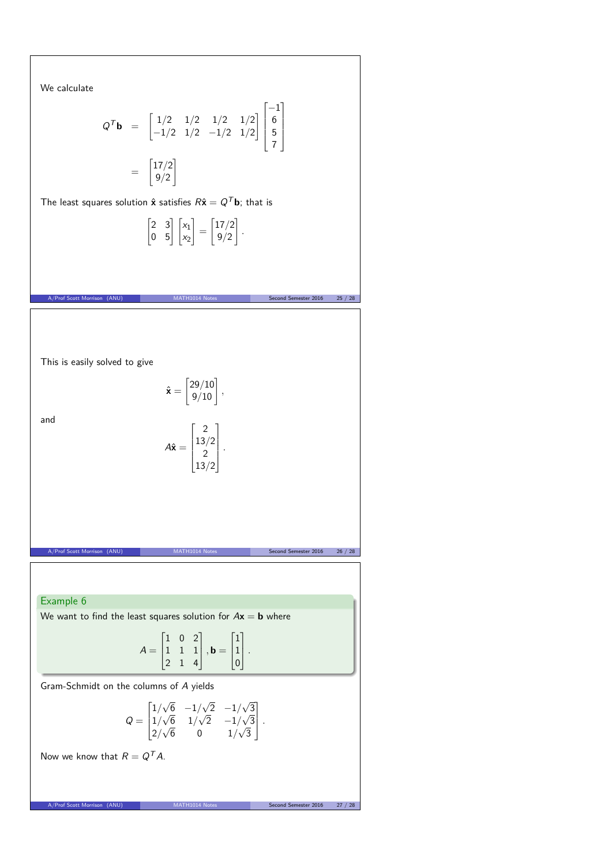We calculate

$$
Q^{\mathsf{T}}\mathbf{b} = \begin{bmatrix} 1/2 & 1/2 & 1/2 & 1/2 \\ -1/2 & 1/2 & -1/2 & 1/2 \end{bmatrix} \begin{bmatrix} -1 \\ 6 \\ 5 \\ 7 \end{bmatrix}
$$

$$
= \begin{bmatrix} 17/2 \\ 9/2 \end{bmatrix}
$$

The least squares solution  $\hat{\mathbf{x}}$  satisfies  $R\hat{\mathbf{x}} = Q^T \mathbf{b}$ ; that is

$$
\begin{bmatrix} 2 & 3 \\ 0 & 5 \end{bmatrix} \begin{bmatrix} x_1 \\ x_2 \end{bmatrix} = \begin{bmatrix} 17/2 \\ 9/2 \end{bmatrix}.
$$



A/Prof Scott Morrison (ANU) MATH1014 Notes Second Semester 2016 27 / 28